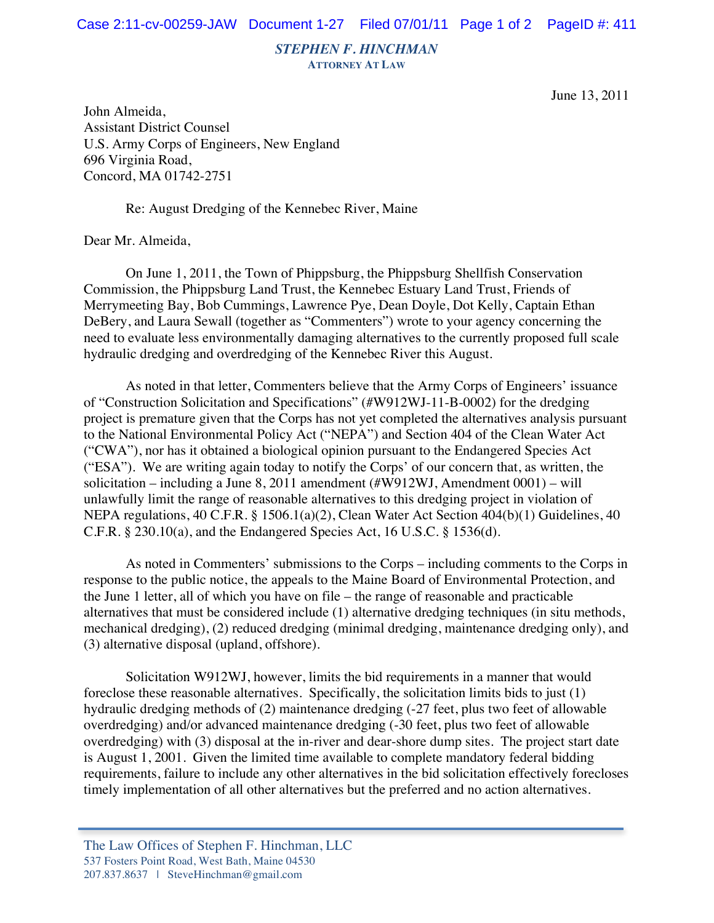*STEPHEN F. HINCHMAN*

**ATTORNEY AT LAW**

June 13, 2011

John Almeida, Assistant District Counsel U.S. Army Corps of Engineers, New England 696 Virginia Road, Concord, MA 01742-2751

Re: August Dredging of the Kennebec River, Maine

Dear Mr. Almeida,

On June 1, 2011, the Town of Phippsburg, the Phippsburg Shellfish Conservation Commission, the Phippsburg Land Trust, the Kennebec Estuary Land Trust, Friends of Merrymeeting Bay, Bob Cummings, Lawrence Pye, Dean Doyle, Dot Kelly, Captain Ethan DeBery, and Laura Sewall (together as "Commenters") wrote to your agency concerning the need to evaluate less environmentally damaging alternatives to the currently proposed full scale hydraulic dredging and overdredging of the Kennebec River this August.

As noted in that letter, Commenters believe that the Army Corps of Engineers' issuance of "Construction Solicitation and Specifications" (#W912WJ-11-B-0002) for the dredging project is premature given that the Corps has not yet completed the alternatives analysis pursuant to the National Environmental Policy Act ("NEPA") and Section 404 of the Clean Water Act ("CWA"), nor has it obtained a biological opinion pursuant to the Endangered Species Act ("ESA"). We are writing again today to notify the Corps' of our concern that, as written, the solicitation – including a June 8, 2011 amendment (#W912WJ, Amendment  $0001$ ) – will unlawfully limit the range of reasonable alternatives to this dredging project in violation of NEPA regulations, 40 C.F.R. § 1506.1(a)(2), Clean Water Act Section 404(b)(1) Guidelines, 40 C.F.R. § 230.10(a), and the Endangered Species Act, 16 U.S.C. § 1536(d).

As noted in Commenters' submissions to the Corps – including comments to the Corps in response to the public notice, the appeals to the Maine Board of Environmental Protection, and the June 1 letter, all of which you have on file – the range of reasonable and practicable alternatives that must be considered include (1) alternative dredging techniques (in situ methods, mechanical dredging), (2) reduced dredging (minimal dredging, maintenance dredging only), and (3) alternative disposal (upland, offshore).

Solicitation W912WJ, however, limits the bid requirements in a manner that would foreclose these reasonable alternatives. Specifically, the solicitation limits bids to just (1) hydraulic dredging methods of (2) maintenance dredging (-27 feet, plus two feet of allowable overdredging) and/or advanced maintenance dredging (-30 feet, plus two feet of allowable overdredging) with (3) disposal at the in-river and dear-shore dump sites. The project start date is August 1, 2001. Given the limited time available to complete mandatory federal bidding requirements, failure to include any other alternatives in the bid solicitation effectively forecloses timely implementation of all other alternatives but the preferred and no action alternatives.